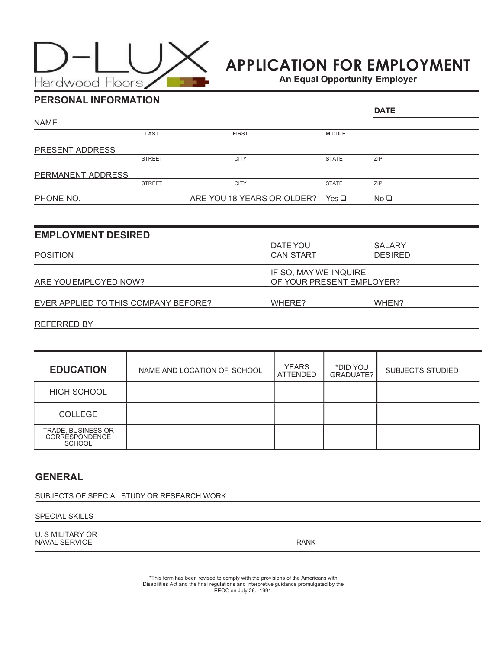

# APPLICATION FOR EMPLOYMENT

An Equal Opportunity Employer

| <b>PERSONAL INFORMATION</b> |               |                            |               |                 |
|-----------------------------|---------------|----------------------------|---------------|-----------------|
|                             | <b>DATE</b>   |                            |               |                 |
| <b>NAME</b>                 |               |                            |               |                 |
|                             | LAST          | <b>FIRST</b>               | <b>MIDDLE</b> |                 |
| <b>PRESENT ADDRESS</b>      |               |                            |               |                 |
|                             | <b>STREET</b> | <b>CITY</b>                | <b>STATE</b>  | <b>ZIP</b>      |
| <b>PERMANENT ADDRESS</b>    |               |                            |               |                 |
|                             | <b>STREET</b> | <b>CITY</b>                | <b>STATE</b>  | <b>ZIP</b>      |
| PHONE NO.                   |               | ARE YOU 18 YEARS OR OLDER? | Yes $\Box$    | No <sub>1</sub> |
|                             |               |                            |               |                 |

| <b>EMPLOYMENT DESIRED</b>            |                              |                                                    |  |  |
|--------------------------------------|------------------------------|----------------------------------------------------|--|--|
| <b>POSITION</b>                      | DATE YOU<br><b>CAN START</b> | <b>SALARY</b><br><b>DESIRED</b>                    |  |  |
| ARE YOU EMPLOYED NOW?                |                              | IF SO, MAY WE INQUIRE<br>OF YOUR PRESENT EMPLOYER? |  |  |
| EVER APPLIED TO THIS COMPANY BEFORE? | WHERE?                       | WHEN?                                              |  |  |
| REFERRED BY                          |                              |                                                    |  |  |

| <b>EDUCATION</b>                                             | NAME AND LOCATION OF SCHOOL | <b>YEARS</b><br><b>ATTENDED</b> | *DID YOU<br>GRADUATE? | <b>SUBJECTS STUDIED</b> |
|--------------------------------------------------------------|-----------------------------|---------------------------------|-----------------------|-------------------------|
| <b>HIGH SCHOOL</b>                                           |                             |                                 |                       |                         |
| <b>COLLEGE</b>                                               |                             |                                 |                       |                         |
| TRADE, BUSINESS OR<br><b>CORRESPONDENCE</b><br><b>SCHOOL</b> |                             |                                 |                       |                         |

## GENERAL

SUBJECTS OF SPECIAL STUDY OR RESEARCH WORK

### SPECIAL SKILLS

U. S MILITARY OR NAVAL SERVICE RANK

\*This form has been revised to comply with the provisions of the Americans with Disabilities Act and the final regulations and interpretive guidance promulgated by the EEOC on July 26. 1991.